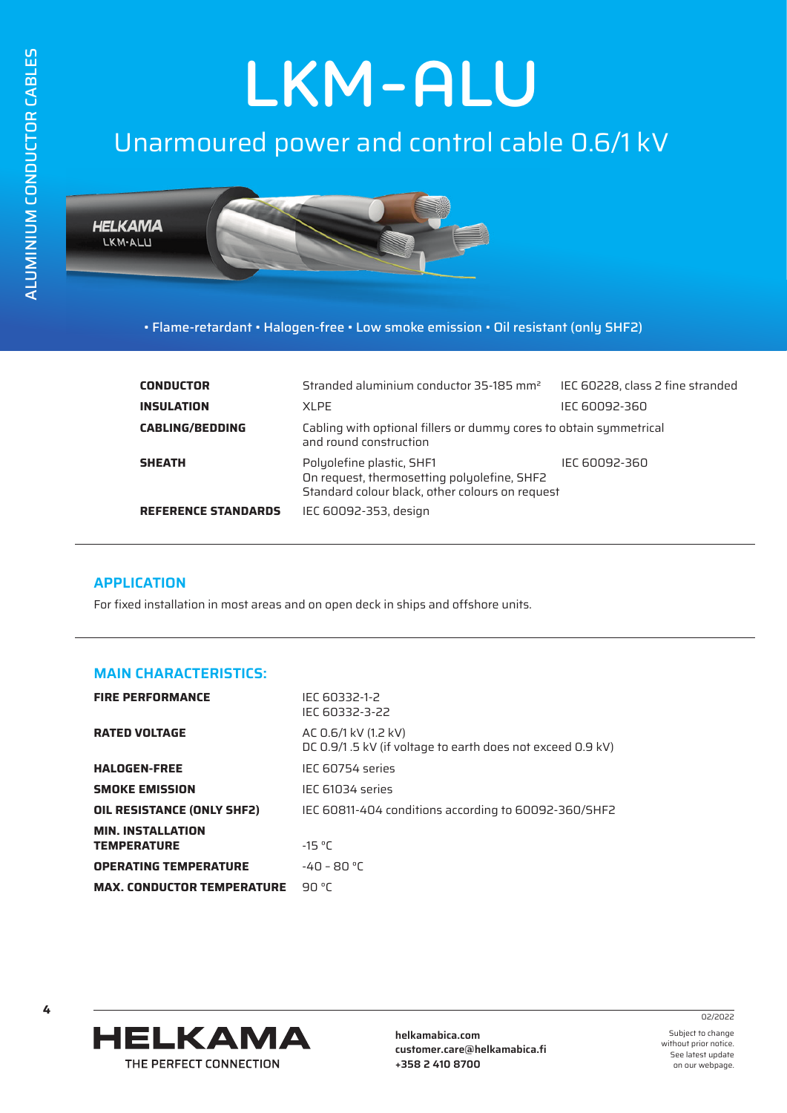# **LKM-ALU**

# Unarmoured power and control cable 0.6/1 kV



• Flame-retardant • Halogen-free • Low smoke emission • Oil resistant (only SHF2)

| <b>CONDUCTOR</b>           | Stranded aluminium conductor 35-185 mm <sup>2</sup>                                                                         | IEC 60228, class 2 fine stranded |  |  |
|----------------------------|-----------------------------------------------------------------------------------------------------------------------------|----------------------------------|--|--|
| <b>INSULATION</b>          | XI PF                                                                                                                       | IEC 60092-360                    |  |  |
| <b>CABLING/BEDDING</b>     | Cabling with optional fillers or dummy cores to obtain symmetrical<br>and round construction                                |                                  |  |  |
| <b>SHEATH</b>              | Polyolefine plastic, SHF1<br>On request, thermosetting polyolefine, SHF2<br>Standard colour black, other colours on request | IEC 60092-360                    |  |  |
| <b>REFERENCE STANDARDS</b> | IEC 60092-353, design                                                                                                       |                                  |  |  |

#### **APPLICATION**

For fixed installation in most areas and on open deck in ships and offshore units.

### **MAIN CHARACTERISTICS:**

| <b>FIRE PERFORMANCE</b>                        | IFC 60332-1-2<br>IEC 60332-3-22                                                    |
|------------------------------------------------|------------------------------------------------------------------------------------|
| <b>RATED VOLTAGE</b>                           | AC 0.6/1 kV (1.2 kV)<br>DC 0.9/1.5 kV (if voltage to earth does not exceed 0.9 kV) |
| <b>HALOGEN-FREE</b>                            | IEC 60754 series                                                                   |
| <b>SMOKE EMISSION</b>                          | IEC 61034 series                                                                   |
| OIL RESISTANCE (ONLY SHF2)                     | IEC 60811-404 conditions according to 60092-360/SHF2                               |
| <b>MIN. INSTALLATION</b><br><b>TEMPERATURE</b> | $-15 °C$                                                                           |
| <b>OPERATING TEMPERATURE</b>                   | $-40 - 80 °C$                                                                      |
| <b>MAX. CONDUCTOR TEMPERATURE</b>              | 90 °C                                                                              |



**helkamabica.com customer.care@helkamabica.fi +358 2 410 8700**

Subject to change without prior notice. See latest update

on our webpage.